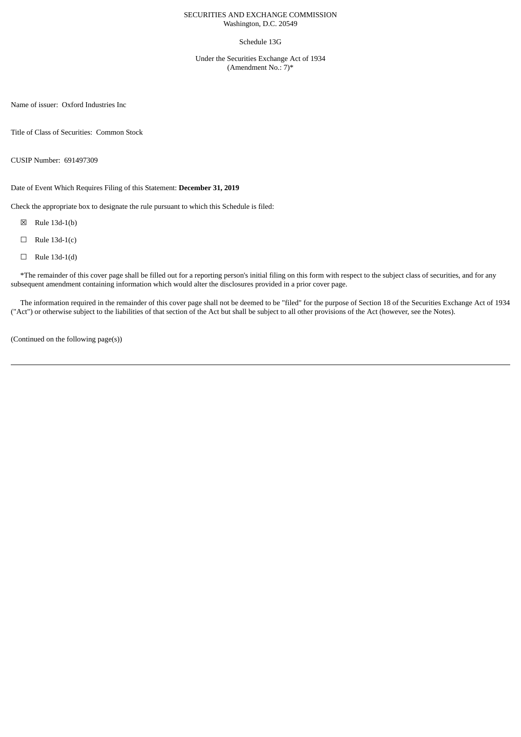### SECURITIES AND EXCHANGE COMMISSION Washington, D.C. 20549

### Schedule 13G

Under the Securities Exchange Act of 1934 (Amendment No.: 7)\*

Name of issuer: Oxford Industries Inc

Title of Class of Securities: Common Stock

CUSIP Number: 691497309

Date of Event Which Requires Filing of this Statement: **December 31, 2019**

Check the appropriate box to designate the rule pursuant to which this Schedule is filed:

- ☒ Rule 13d-1(b)
- $\Box$  Rule 13d-1(c)
- $\Box$  Rule 13d-1(d)

\*The remainder of this cover page shall be filled out for a reporting person's initial filing on this form with respect to the subject class of securities, and for any subsequent amendment containing information which would alter the disclosures provided in a prior cover page.

The information required in the remainder of this cover page shall not be deemed to be "filed" for the purpose of Section 18 of the Securities Exchange Act of 1934 ("Act") or otherwise subject to the liabilities of that section of the Act but shall be subject to all other provisions of the Act (however, see the Notes).

(Continued on the following page(s))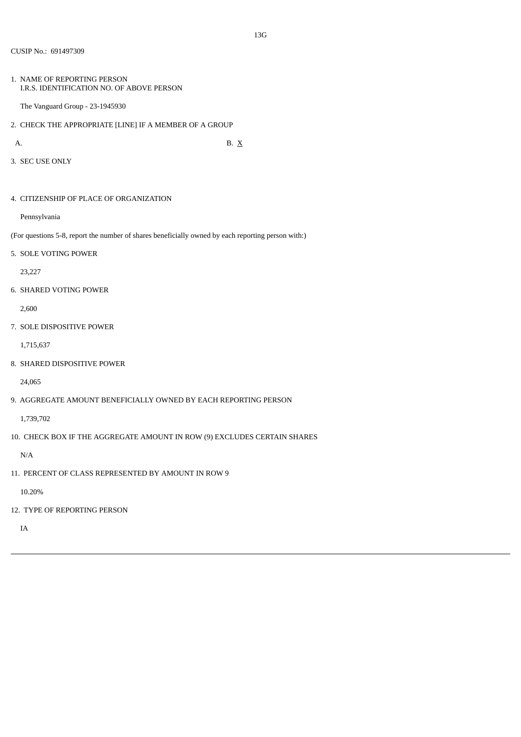1. NAME OF REPORTING PERSON I.R.S. IDENTIFICATION NO. OF ABOVE PERSON

The Vanguard Group - 23-1945930

2. CHECK THE APPROPRIATE [LINE] IF A MEMBER OF A GROUP

A. B.  $X$ 

3. SEC USE ONLY

4. CITIZENSHIP OF PLACE OF ORGANIZATION

Pennsylvania

(For questions 5-8, report the number of shares beneficially owned by each reporting person with:)

5. SOLE VOTING POWER

23,227

6. SHARED VOTING POWER

2,600

7. SOLE DISPOSITIVE POWER

1,715,637

8. SHARED DISPOSITIVE POWER

24,065

9. AGGREGATE AMOUNT BENEFICIALLY OWNED BY EACH REPORTING PERSON

1,739,702

10. CHECK BOX IF THE AGGREGATE AMOUNT IN ROW (9) EXCLUDES CERTAIN SHARES

N/A

11. PERCENT OF CLASS REPRESENTED BY AMOUNT IN ROW 9

10.20%

12. TYPE OF REPORTING PERSON

IA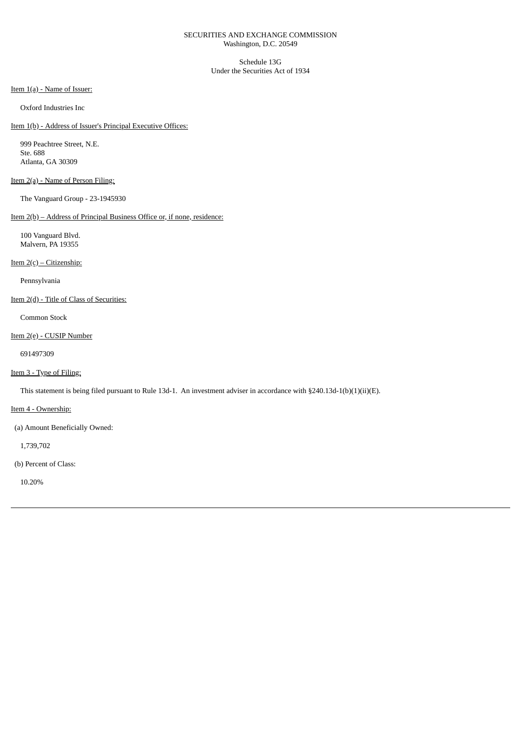### SECURITIES AND EXCHANGE COMMISSION Washington, D.C. 20549

Schedule 13G Under the Securities Act of 1934

Item 1(a) - Name of Issuer:

Oxford Industries Inc

Item 1(b) - Address of Issuer's Principal Executive Offices:

999 Peachtree Street, N.E. Ste. 688 Atlanta, GA 30309

# Item 2(a) - Name of Person Filing:

The Vanguard Group - 23-1945930

## Item 2(b) – Address of Principal Business Office or, if none, residence:

100 Vanguard Blvd. Malvern, PA 19355

### Item 2(c) – Citizenship:

Pennsylvania

## Item 2(d) - Title of Class of Securities:

Common Stock

### Item 2(e) - CUSIP Number

691497309

# Item 3 - Type of Filing:

This statement is being filed pursuant to Rule 13d-1. An investment adviser in accordance with §240.13d-1(b)(1)(ii)(E).

Item 4 - Ownership:

(a) Amount Beneficially Owned:

1,739,702

(b) Percent of Class:

10.20%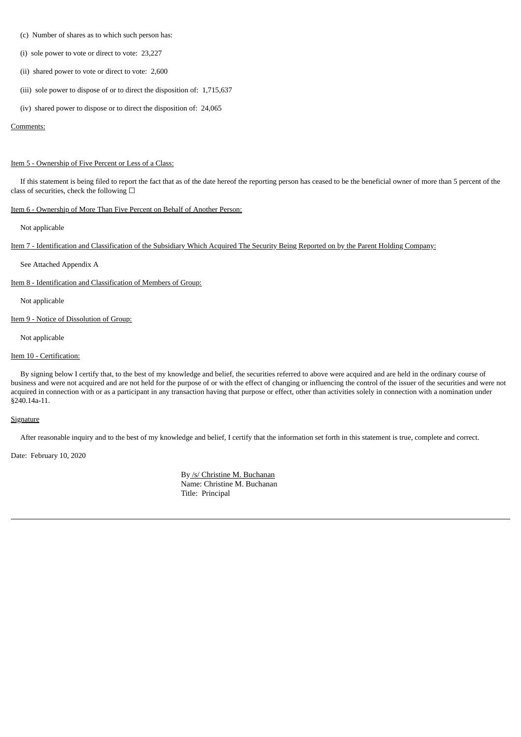- (c) Number of shares as to which such person has:
- (i) sole power to vote or direct to vote: 23,227
- (ii) shared power to vote or direct to vote: 2,600
- (iii) sole power to dispose of or to direct the disposition of: 1,715,637
- (iv) shared power to dispose or to direct the disposition of: 24,065

#### Comments:

### Item 5 - Ownership of Five Percent or Less of a Class:

If this statement is being filed to report the fact that as of the date hereof the reporting person has ceased to be the beneficial owner of more than 5 percent of the class of securities, check the following  $\Box$ 

## Item 6 - Ownership of More Than Five Percent on Behalf of Another Person:

Not applicable

Item 7 - Identification and Classification of the Subsidiary Which Acquired The Security Being Reported on by the Parent Holding Company:

See Attached Appendix A

Item 8 - Identification and Classification of Members of Group:

Not applicable

Item 9 - Notice of Dissolution of Group:

Not applicable

### Item 10 - Certification:

By signing below I certify that, to the best of my knowledge and belief, the securities referred to above were acquired and are held in the ordinary course of business and were not acquired and are not held for the purpose of or with the effect of changing or influencing the control of the issuer of the securities and were not acquired in connection with or as a participant in any transaction having that purpose or effect, other than activities solely in connection with a nomination under §240.14a-11.

### **Signature**

After reasonable inquiry and to the best of my knowledge and belief, I certify that the information set forth in this statement is true, complete and correct.

Date: February 10, 2020

By /s/ Christine M. Buchanan Name: Christine M. Buchanan Title: Principal